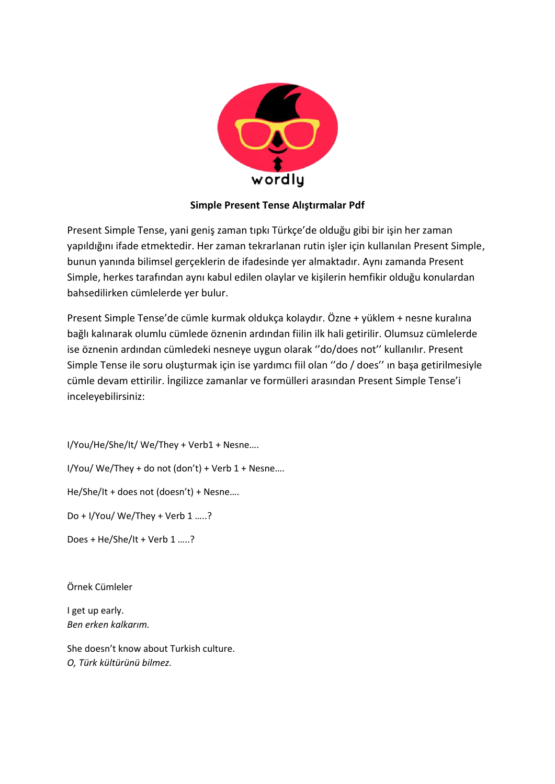

## **Simple Present Tense Alıştırmalar Pdf**

Present Simple Tense, yani geniş zaman tıpkı Türkçe'de olduğu gibi bir işin her zaman yapıldığını ifade etmektedir. Her zaman tekrarlanan rutin işler için kullanılan Present Simple, bunun yanında bilimsel gerçeklerin de ifadesinde yer almaktadır. Aynı zamanda Present Simple, herkes tarafından aynı kabul edilen olaylar ve kişilerin hemfikir olduğu konulardan bahsedilirken cümlelerde yer bulur.

Present Simple Tense'de cümle kurmak oldukça kolaydır. Özne + yüklem + nesne kuralına bağlı kalınarak olumlu cümlede öznenin ardından fiilin ilk hali getirilir. Olumsuz cümlelerde ise öznenin ardından cümledeki nesneye uygun olarak ''do/does not'' kullanılır. Present Simple Tense ile soru oluşturmak için ise yardımcı fiil olan ''do / does'' ın başa getirilmesiyle cümle devam ettirilir. İngilizce zamanlar ve formülleri arasından Present Simple Tense'i inceleyebilirsiniz:

I/You/He/She/It/ We/They + Verb1 + Nesne….

I/You/ We/They + do not (don't) + Verb 1 + Nesne….

He/She/It + does not (doesn't) + Nesne….

Do + I/You/ We/They + Verb 1 …..?

Does + He/She/It + Verb 1 …..?

Örnek Cümleler

I get up early. *Ben erken kalkarım.*

She doesn't know about Turkish culture. *O, Türk kültürünü bilmez.*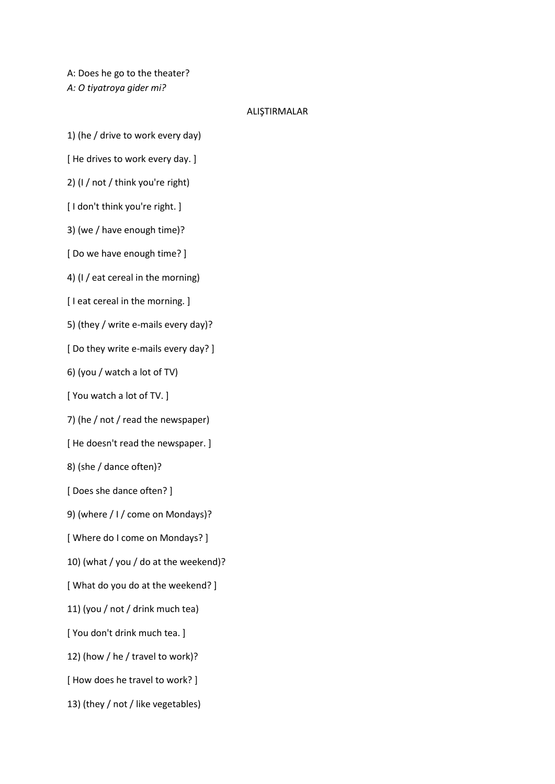A: Does he go to the theater? *A: O tiyatroya gider mi?*

## ALIŞTIRMALAR

1) (he / drive to work every day)

[ He drives to work every day. ]

2) (I / not / think you're right)

[ I don't think you're right. ]

3) (we / have enough time)?

[ Do we have enough time? ]

4) (I / eat cereal in the morning)

[ I eat cereal in the morning. ]

5) (they / write e-mails every day)?

[ Do they write e-mails every day? ]

6) (you / watch a lot of TV)

[ You watch a lot of TV. ]

7) (he / not / read the newspaper)

[ He doesn't read the newspaper. ]

8) (she / dance often)?

[ Does she dance often? ]

9) (where / I / come on Mondays)?

[ Where do I come on Mondays? ]

10) (what / you / do at the weekend)?

[ What do you do at the weekend? ]

11) (you / not / drink much tea)

[ You don't drink much tea. ]

12) (how / he / travel to work)?

[ How does he travel to work? ]

13) (they / not / like vegetables)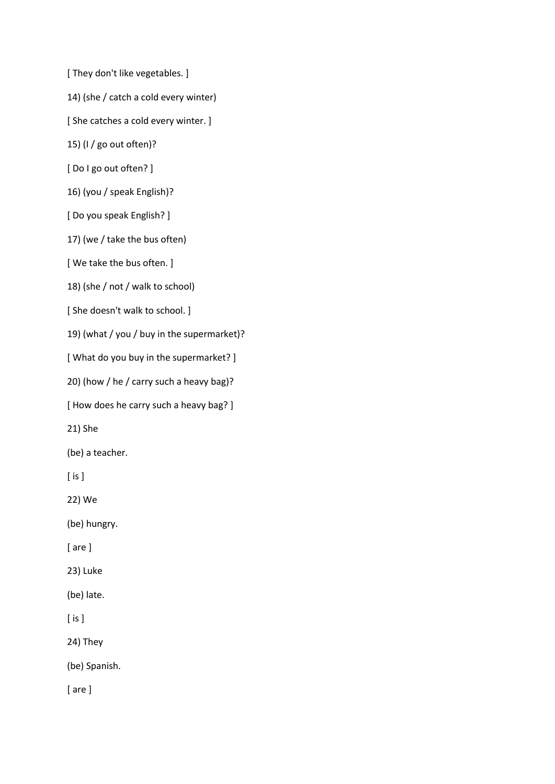[ They don't like vegetables. ]

14) (she / catch a cold every winter)

[ She catches a cold every winter. ]

15) (I / go out often)?

[ Do I go out often? ]

16) (you / speak English)?

[ Do you speak English? ]

17) (we / take the bus often)

[ We take the bus often. ]

18) (she / not / walk to school)

[ She doesn't walk to school. ]

19) (what / you / buy in the supermarket)?

[ What do you buy in the supermarket? ]

20) (how / he / carry such a heavy bag)?

[ How does he carry such a heavy bag? ]

21) She

(be) a teacher.

[ is ]

22) We

(be) hungry.

[ are ]

23) Luke

(be) late.

[ is ]

24) They

(be) Spanish.

[ are ]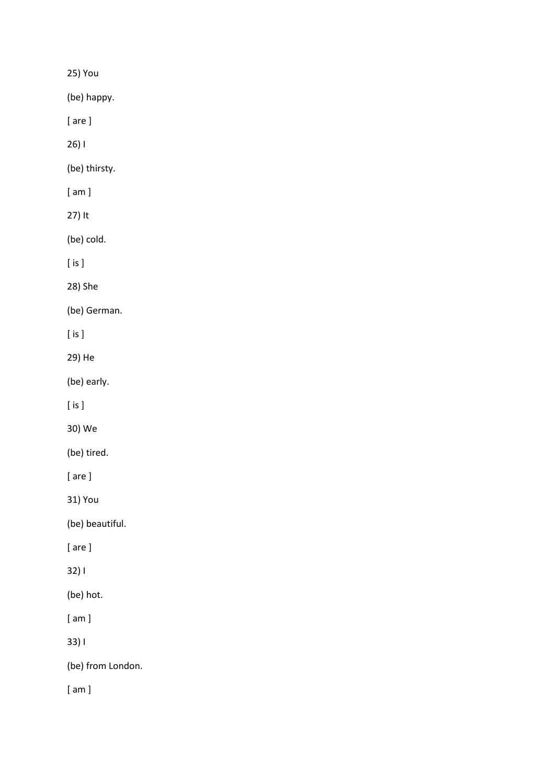25) You

(be) happy.

[ are ]

26) I

(be) thirsty.

[ am ]

27) It

(be) cold.

[ is ]

28) She

(be) German.

[ is ]

29) He

(be) early.

[ is ]

30) We

(be) tired.

[ are ]

31) You

(be) beautiful.

[ are ]

32) I

(be) hot.

[ am ]

33) I

(be) from London.

[ am ]